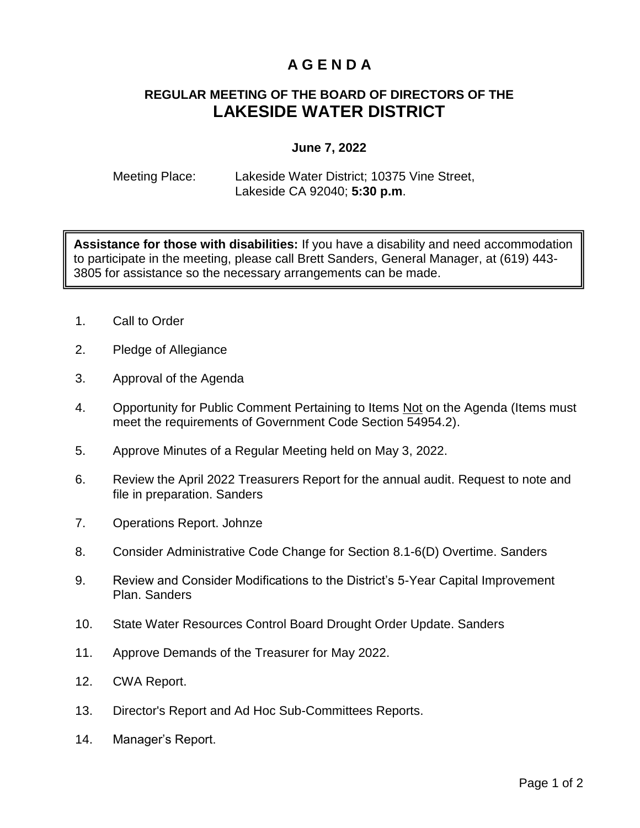# **A G E N D A**

## **REGULAR MEETING OF THE BOARD OF DIRECTORS OF THE LAKESIDE WATER DISTRICT**

#### **June 7, 2022**

Meeting Place: Lakeside Water District; 10375 Vine Street, Lakeside CA 92040; **5:30 p.m**.

**Assistance for those with disabilities:** If you have a disability and need accommodation to participate in the meeting, please call Brett Sanders, General Manager, at (619) 443- 3805 for assistance so the necessary arrangements can be made.

- 1. Call to Order
- 2. Pledge of Allegiance
- 3. Approval of the Agenda
- 4. Opportunity for Public Comment Pertaining to Items Not on the Agenda (Items must meet the requirements of Government Code Section 54954.2).
- 5. Approve Minutes of a Regular Meeting held on May 3, 2022.
- 6. Review the April 2022 Treasurers Report for the annual audit. Request to note and file in preparation. Sanders
- 7. Operations Report. Johnze
- 8. Consider Administrative Code Change for Section 8.1-6(D) Overtime. Sanders
- 9. Review and Consider Modifications to the District's 5-Year Capital Improvement Plan. Sanders
- 10. State Water Resources Control Board Drought Order Update. Sanders
- 11. Approve Demands of the Treasurer for May 2022.
- 12. CWA Report.
- 13. Director's Report and Ad Hoc Sub-Committees Reports.
- 14. Manager's Report.